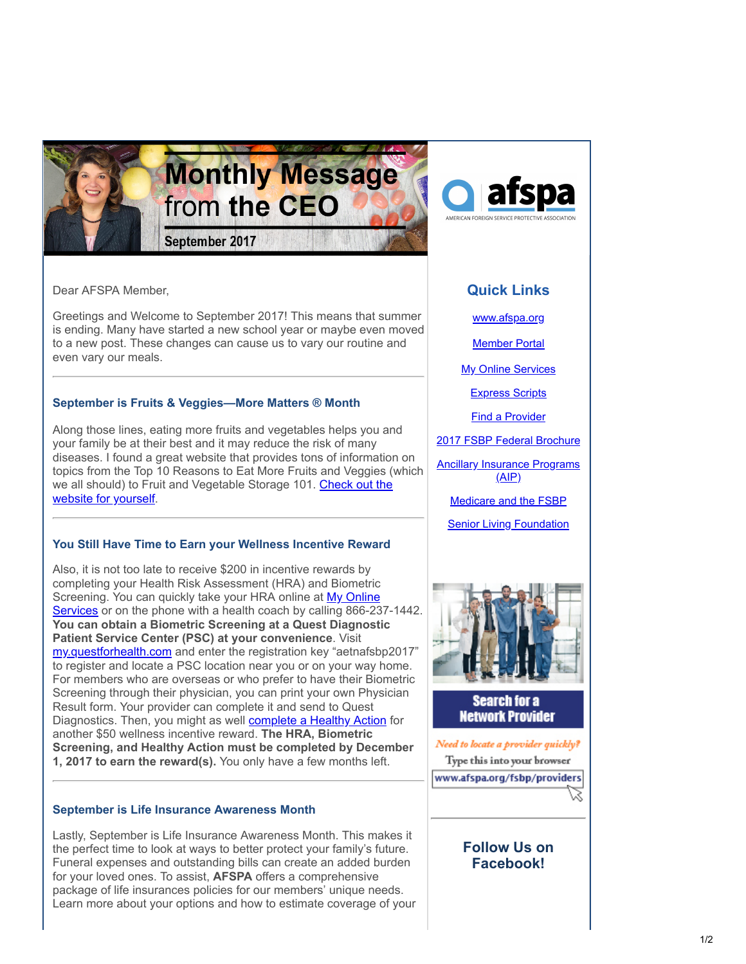

afspa

Dear AFSPA Member,

Greetings and Welcome to September 2017! This means that summer is ending. Many have started a new school year or maybe even moved to a new post. These changes can cause us to vary our routine and even vary our meals.

## **September is Fruits & Veggies—More Matters ® Month**

Along those lines, eating more fruits and vegetables helps you and your family be at their best and it may reduce the risk of many diseases. I found a great website that provides tons of information on topics from the Top 10 Reasons to Eat More Fruits and Veggies (which [we all should\) to Fruit and Vegetable Storage 101. Check out the](http://www.fruitsandveggiesmorematters.org/why-fruits-veggies/?utm_source=Email_marketing_CEO_Message_Sept2017&utm_campaign=CEO_Message_Sept2017&cmp=1&utm_medium=HTMLEmail) website for yourself.

### **You Still Have Time to Earn your Wellness Incentive Reward**

Also, it is not too late to receive \$200 in incentive rewards by completing your Health Risk Assessment (HRA) and Biometric [Screening. You can quickly take your HRA online at My Online](http://member.cvty.com/?utm_source=Email_marketing_CEO_Message_Sept2017&utm_campaign=CEO_Message_Sept2017&cmp=1&utm_medium=HTMLEmail) Services or on the phone with a health coach by calling 866-237-1442. **You can obtain a Biometric Screening at a Quest Diagnostic Patient Service Center (PSC) at your convenience**. Visit [my.questforhealth.com](https://my.questforhealth.com/?utm_source=Email_marketing_CEO_Message_Sept2017&utm_campaign=CEO_Message_Sept2017&cmp=1&utm_medium=HTMLEmail) and enter the registration key "aetnafsbp2017" to register and locate a PSC location near you or on your way home. For members who are overseas or who prefer to have their Biometric Screening through their physician, you can print your own Physician Result form. Your provider can complete it and send to Quest Diagnostics. Then, you might as well **complete a Healthy Action** for another \$50 wellness incentive reward. **The HRA, Biometric Screening, and Healthy Action must be completed by December 1, 2017 to earn the reward(s).** You only have a few months left.

### **September is Life Insurance Awareness Month**

Lastly, September is Life Insurance Awareness Month. This makes it the perfect time to look at ways to better protect your family's future. Funeral expenses and outstanding bills can create an added burden for your loved ones. To assist, **AFSPA** offers a comprehensive package of life insurances policies for our members' unique needs. Learn more about your options and how to estimate coverage of your

# **Quick Links**

[www.afspa.org](http://www.afspa.org/?utm_source=Email_marketing_CEO_Message_Sept2017&utm_campaign=CEO_Message_Sept2017&cmp=1&utm_medium=HTMLEmail)

[Member Portal](https://secure.myafspa.org/?utm_source=Email_marketing_CEO_Message_Sept2017&utm_campaign=CEO_Message_Sept2017&cmp=1&utm_medium=HTMLEmail)

**[My Online Services](https://member.cvty.com/memberPortalWeb/appmanager/memberPortal/member?utm_source=Email_marketing_CEO_Message_Sept2017&utm_campaign=CEO_Message_Sept2017&cmp=1&utm_medium=HTMLEmail)** 

[Express Scripts](https://www.express-scripts.com/consumer/site/home?partner=FSBP&accessLink=FSBPDCC&utm_source=Email_marketing_CEO_Message_Sept2017&utm_source=Email_marketing_CEO_Message_Sept2017&utm_source=Email_marketing_CEO_Message_Sept2017&utm_source=Email_marketing_CEO_Message_Sept2017&utm_source=Email_marketing_CEO_Message_Sept2017&utm_source=Email_marketing_CEO_Message_Sept2017&utm_campaign=CEO_Message_Sept2017&utm_campaign=CEO_Message_Sept2017&utm_campaign=CEO_Message_Sept2017&utm_campaign=CEO_Message_Sept2017&utm_campaign=CEO_Message_Sept2017&utm_campaign=CEO_Message_Sept2017&cmp=1&cmp=1&cmp=1&cmp=1&cmp=1&cmp=1&utm_medium=HTMLEmail&utm_medium=HTMLEmail&utm_medium=HTMLEmail&utm_medium=HTMLEmail&utm_medium=HTMLEmail&utm_medium=HTMLEmail&utm_source=Email_marketing_CEO_Message_Sept2017&utm_campaign=CEO_Message_Sept2017&cmp=1&utm_medium=HTMLEmail)

[Find a Provider](http://fsbp.coventryhealthcare.com/member-support/locate-a-provider/index.htm?utm_source=Email_marketing_CEO_Message_Sept2017&utm_campaign=CEO_Message_Sept2017&cmp=1&utm_medium=HTMLEmail)

[2017 FSBP Federal Brochure](https://www.afspa.org/filestoreAFSPA/2017RI72-001FSBPBrochure.pdf?utm_source=Email_marketing_CEO_Message_Sept2017&utm_campaign=CEO_Message_Sept2017&cmp=1&utm_medium=HTMLEmail)

[Ancillary Insurance Programs](https://www.afspa.org/aip_home.cfm?utm_source=Email_marketing_CEO_Message_Sept2017&utm_campaign=CEO_Message_Sept2017&cmp=1&utm_medium=HTMLEmail)  $(AIP)$ 

[Medicare and the FSBP](https://www.afspa.org/filestoreAFSPA/FSBP-17MedicareBooklet.pdf?utm_source=Email_marketing_CEO_Message_Sept2017&utm_campaign=CEO_Message_Sept2017&cmp=1&utm_medium=HTMLEmail)

[Senior Living Foundation](http://www.slfoundation.org/?utm_source=Email_marketing_CEO_Message_Sept2017&utm_campaign=CEO_Message_Sept2017&cmp=1&utm_medium=HTMLEmail)



**Search for a Network Provider** 

Need to locate a provider quickly? Type this into your browser www.afspa.org/fsbp/providers

Ŵ

# **Follow Us on Facebook!**